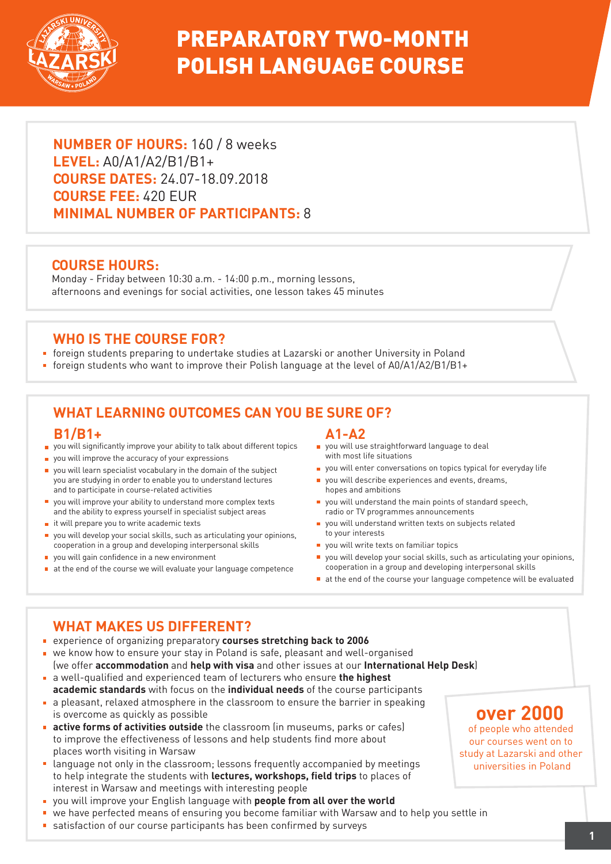

# PREPARATORY TWO-MONTH POLISH LANGUAGE COURSE

**NUMBER OF HOURS:** 160 / 8 weeks **LEVEL:** A0/A1/A2/B1/B1+ **COURSE DATES:** 24.07-18.09.2018 **COURSE FEE:** 420 EUR **MINIMAL NUMBER OF PARTICIPANTS:** 8

### **COURSE HOURS:**

Monday - Friday between 10:30 a.m. - 14:00 p.m., morning lessons, afternoons and evenings for social activities, one lesson takes 45 minutes

### **WHO IS THE COURSE FOR?**

- foreign students preparing to undertake studies at Lazarski or another University in Poland
- foreign students who want to improve their Polish language at the level of A0/A1/A2/B1/B1+

# **WHAT LEARNING OUTCOMES CAN YOU BE SURE OF?**

#### **B1/B1+**

- vou will significantly improve your ability to talk about different topics
- vou will improve the accuracy of your expressions
- vou will learn specialist vocabulary in the domain of the subject you are studying in order to enable you to understand lectures and to participate in course-related activities
- you will improve your ability to understand more complex texts and the ability to express yourself in specialist subject areas
- $\blacksquare$  it will prepare you to write academic texts
- you will develop your social skills, such as articulating your opinions, cooperation in a group and developing interpersonal skills
- vou will gain confidence in a new environment
- $\blacksquare$  at the end of the course we will evaluate your language competence

#### **A1-A2**

- **p** you will use straightforward language to deal with most life situations
- vou will enter conversations on topics typical for everyday life
- vou will describe experiences and events, dreams, hopes and ambitions
- $\blacksquare$  you will understand the main points of standard speech. radio or TV programmes announcements
- vou will understand written texts on subjects related to your interests
- vou will write texts on familiar topics
- you will develop your social skills, such as articulating your opinions, cooperation in a group and developing interpersonal skills
- at the end of the course your language competence will be evaluated

## **WHAT MAKES US DIFFERENT?**

- experience of organizing preparatory **courses stretching back to 2006**
- we know how to ensure your stay in Poland is safe, pleasant and well-organised (we offer **accommodation** and **help with visa** and other issues at our **International Help Desk**)
- a well-qualified and experienced team of lecturers who ensure **the highest academic standards** with focus on the **individual needs** of the course participants
- a pleasant, relaxed atmosphere in the classroom to ensure the barrier in speaking is overcome as quickly as possible
- **active forms of activities outside** the classroom (in museums, parks or cafes) to improve the effectiveness of lessons and help students find more about places worth visiting in Warsaw
- language not only in the classroom; lessons frequently accompanied by meetings to help integrate the students with **lectures, workshops, field trips** to places of interest in Warsaw and meetings with interesting people
- you will improve your English language with **people from all over the world**
- we have perfected means of ensuring you become familiar with Warsaw and to help you settle in
- satisfaction of our course participants has been confirmed by surveys

# **over 2000**

of people who attended our courses went on to study at Lazarski and other universities in Poland